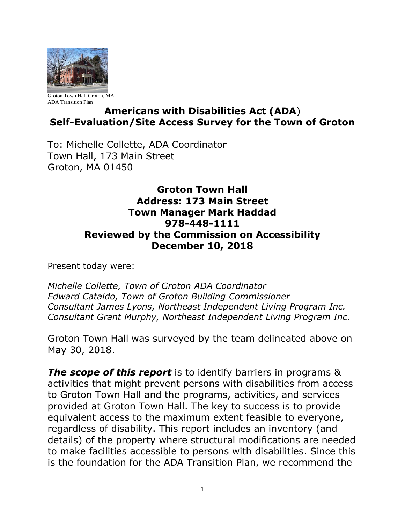

Groton Town Hall Groton, MA ADA Transition Plan

# **Americans with Disabilities Act (ADA**) **Self-Evaluation/Site Access Survey for the Town of Groton**

To: Michelle Collette, ADA Coordinator Town Hall, 173 Main Street Groton, MA 01450

## **Groton Town Hall Address: 173 Main Street Town Manager Mark Haddad 978-448-1111 Reviewed by the Commission on Accessibility December 10, 2018**

Present today were:

*Michelle Collette, Town of Groton ADA Coordinator Edward Cataldo, Town of Groton Building Commissioner Consultant James Lyons, Northeast Independent Living Program Inc. Consultant Grant Murphy, Northeast Independent Living Program Inc.*

Groton Town Hall was surveyed by the team delineated above on May 30, 2018.

*The scope of this report* is to identify barriers in programs & activities that might prevent persons with disabilities from access to Groton Town Hall and the programs, activities, and services provided at Groton Town Hall. The key to success is to provide equivalent access to the maximum extent feasible to everyone, regardless of disability. This report includes an inventory (and details) of the property where structural modifications are needed to make facilities accessible to persons with disabilities. Since this is the foundation for the ADA Transition Plan, we recommend the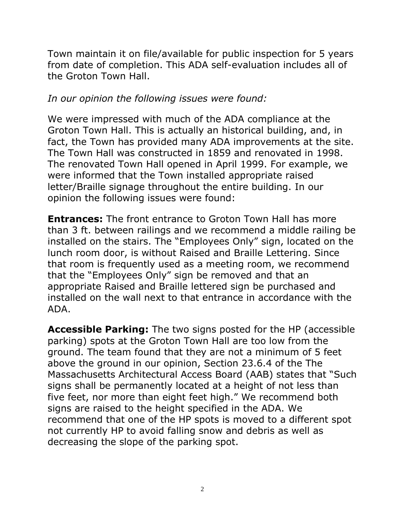Town maintain it on file/available for public inspection for 5 years from date of completion. This ADA self-evaluation includes all of the Groton Town Hall.

## *In our opinion the following issues were found:*

We were impressed with much of the ADA compliance at the Groton Town Hall. This is actually an historical building, and, in fact, the Town has provided many ADA improvements at the site. The Town Hall was constructed in 1859 and renovated in 1998. The renovated Town Hall opened in April 1999. For example, we were informed that the Town installed appropriate raised letter/Braille signage throughout the entire building. In our opinion the following issues were found:

**Entrances:** The front entrance to Groton Town Hall has more than 3 ft. between railings and we recommend a middle railing be installed on the stairs. The "Employees Only" sign, located on the lunch room door, is without Raised and Braille Lettering. Since that room is frequently used as a meeting room, we recommend that the "Employees Only" sign be removed and that an appropriate Raised and Braille lettered sign be purchased and installed on the wall next to that entrance in accordance with the ADA.

**Accessible Parking:** The two signs posted for the HP (accessible parking) spots at the Groton Town Hall are too low from the ground. The team found that they are not a minimum of 5 feet above the ground in our opinion, Section 23.6.4 of the The Massachusetts Architectural Access Board (AAB) states that "Such signs shall be permanently located at a height of not less than five feet, nor more than eight feet high." We recommend both signs are raised to the height specified in the ADA. We recommend that one of the HP spots is moved to a different spot not currently HP to avoid falling snow and debris as well as decreasing the slope of the parking spot.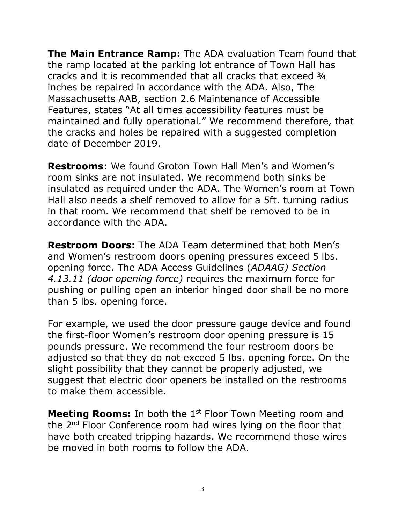**The Main Entrance Ramp:** The ADA evaluation Team found that the ramp located at the parking lot entrance of Town Hall has cracks and it is recommended that all cracks that exceed ¾ inches be repaired in accordance with the ADA. Also, The Massachusetts AAB, section 2.6 Maintenance of Accessible Features, states "At all times accessibility features must be maintained and fully operational." We recommend therefore, that the cracks and holes be repaired with a suggested completion date of December 2019.

**Restrooms**: We found Groton Town Hall Men's and Women's room sinks are not insulated. We recommend both sinks be insulated as required under the ADA. The Women's room at Town Hall also needs a shelf removed to allow for a 5ft. turning radius in that room. We recommend that shelf be removed to be in accordance with the ADA.

**Restroom Doors:** The ADA Team determined that both Men's and Women's restroom doors opening pressures exceed 5 lbs. opening force. The ADA Access Guidelines (*ADAAG) Section 4.13.11 (door opening force)* requires the maximum force for pushing or pulling open an interior hinged door shall be no more than 5 lbs. opening force.

For example, we used the door pressure gauge device and found the first-floor Women's restroom door opening pressure is 15 pounds pressure. We recommend the four restroom doors be adjusted so that they do not exceed 5 lbs. opening force. On the slight possibility that they cannot be properly adjusted, we suggest that electric door openers be installed on the restrooms to make them accessible.

**Meeting Rooms:** In both the 1<sup>st</sup> Floor Town Meeting room and the 2nd Floor Conference room had wires lying on the floor that have both created tripping hazards. We recommend those wires be moved in both rooms to follow the ADA.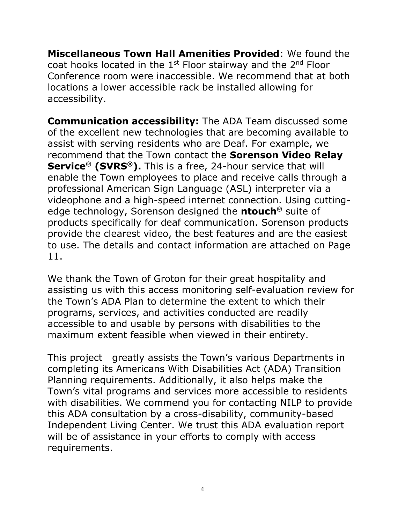**Miscellaneous Town Hall Amenities Provided**: We found the coat hooks located in the  $1<sup>st</sup>$  Floor stairway and the  $2<sup>nd</sup>$  Floor Conference room were inaccessible. We recommend that at both locations a lower accessible rack be installed allowing for accessibility.

**Communication accessibility:** The ADA Team discussed some of the excellent new technologies that are becoming available to assist with serving residents who are Deaf. For example, we recommend that the Town contact the **Sorenson Video Relay Service® (SVRS®).** This is a free, 24-hour service that will enable the Town employees to place and receive calls through a professional American Sign Language (ASL) interpreter via a videophone and a high-speed internet connection. Using cuttingedge technology, Sorenson designed the **ntouch®** suite of products specifically for deaf communication. Sorenson products provide the clearest video, the best features and are the easiest to use. The details and contact information are attached on Page 11.

We thank the Town of Groton for their great hospitality and assisting us with this access monitoring self-evaluation review for the Town's ADA Plan to determine the extent to which their programs, services, and activities conducted are readily accessible to and usable by persons with disabilities to the maximum extent feasible when viewed in their entirety.

This project greatly assists the Town's various Departments in completing its Americans With Disabilities Act (ADA) Transition Planning requirements. Additionally, it also helps make the Town's vital programs and services more accessible to residents with disabilities. We commend you for contacting NILP to provide this ADA consultation by a cross-disability, community-based Independent Living Center. We trust this ADA evaluation report will be of assistance in your efforts to comply with access requirements.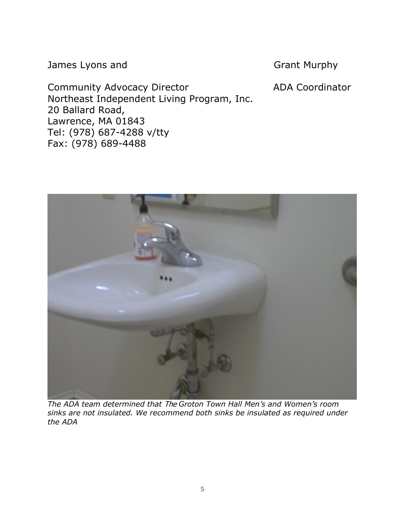James Lyons and Grant Murphy

Community Advocacy Director **ADA Coordinator** Northeast Independent Living Program, Inc. 20 Ballard Road, Lawrence, MA 01843 Tel: (978) 687-4288 v/tty Fax: (978) 689-4488

*The ADA team determined that* The *Groton Town Hall Men's and Women's room sinks are not insulated. We recommend both sinks be insulated as required under the ADA*

5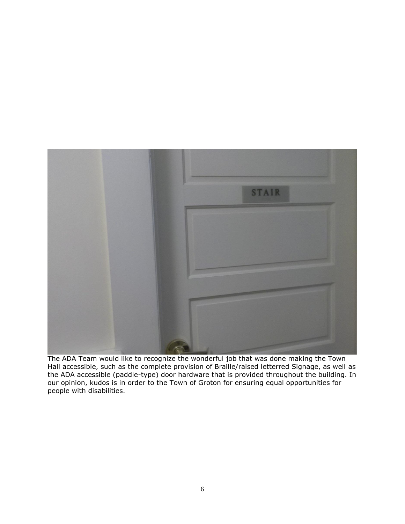

The ADA Team would like to recognize the wonderful job that was done making the Town Hall accessible, such as the complete provision of Braille/raised letterred Signage, as well as the ADA accessible (paddle-type) door hardware that is provided throughout the building. In our opinion, kudos is in order to the Town of Groton for ensuring equal opportunities for people with disabilities.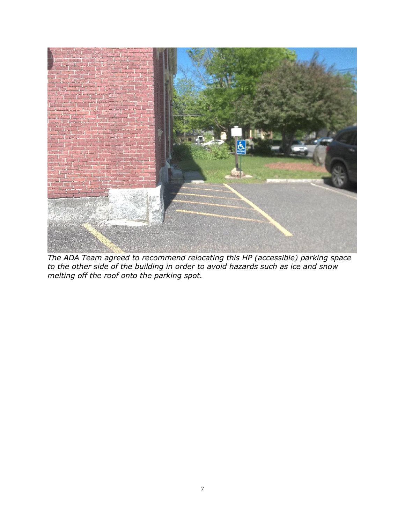

*The ADA Team agreed to recommend relocating this HP (accessible) parking space to the other side of the building in order to avoid hazards such as ice and snow melting off the roof onto the parking spot.*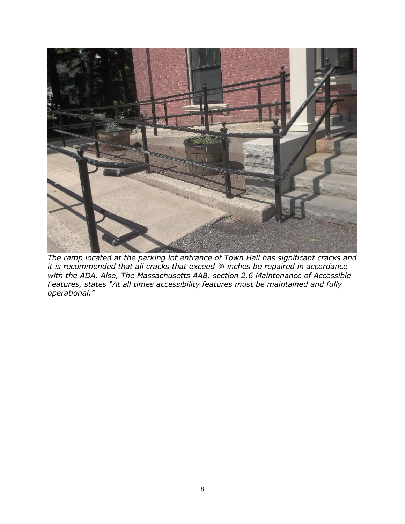

*The ramp located at the parking lot entrance of Town Hall has significant cracks and it is recommended that all cracks that exceed ¾ inches be repaired in accordance with the ADA. Also, The Massachusetts AAB, section 2.6 Maintenance of Accessible Features, states "At all times accessibility features must be maintained and fully operational."*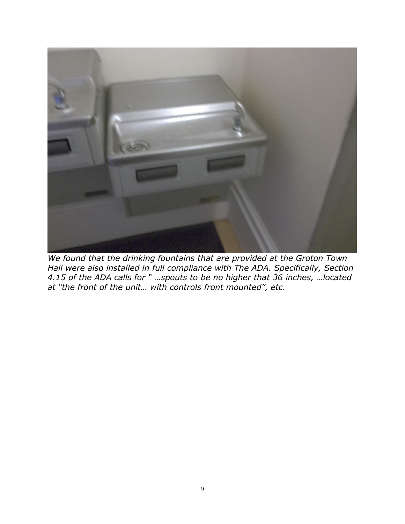

*We found that the drinking fountains that are provided at the Groton Town Hall were also installed in full compliance with The ADA. Specifically, Section 4.15 of the ADA calls for " …spouts to be no higher that 36 inches, …located at "the front of the unit… with controls front mounted", etc.*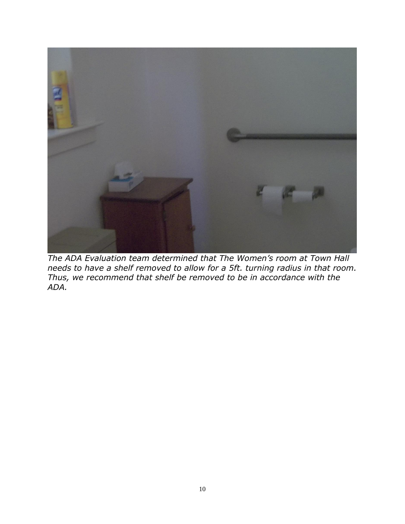

*The ADA Evaluation team determined that The Women's room at Town Hall needs to have a shelf removed to allow for a 5ft. turning radius in that room. Thus, we recommend that shelf be removed to be in accordance with the ADA.*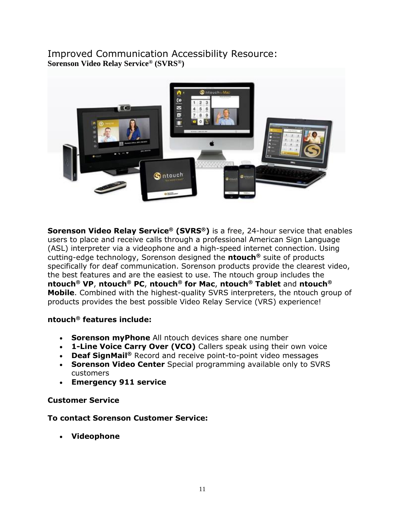### Improved Communication Accessibility Resource: **Sorenson Video Relay Service® (SVRS®)**



**Sorenson Video Relay Service® (SVRS®)** is a free, 24-hour service that enables users to place and receive calls through a professional American Sign Language (ASL) interpreter via a videophone and a high-speed internet connection. Using cutting-edge technology, Sorenson designed the **ntouch®** suite of products specifically for deaf communication. Sorenson products provide the clearest video, the best features and are the easiest to use. The ntouch group includes the **ntouch® VP**, **ntouch® PC**, **ntouch® for Mac**, **ntouch® Tablet** and **ntouch® Mobile**. Combined with the highest-quality SVRS interpreters, the ntouch group of products provides the best possible Video Relay Service (VRS) experience!

#### **ntouch® features include:**

- **Sorenson myPhone** All ntouch devices share one number
- **1-Line Voice Carry Over (VCO)** Callers speak using their own voice
- **Deaf SignMail®** Record and receive point-to-point video messages
- **Sorenson Video Center** Special programming available only to SVRS customers
- **Emergency 911 service**

#### **Customer Service**

#### **To contact Sorenson Customer Service:**

• **Videophone**